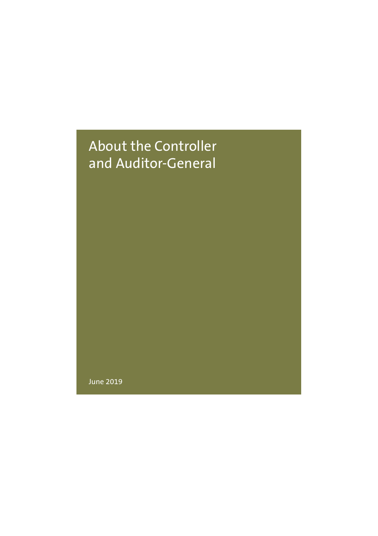## About the Controller and Auditor-General

June 2019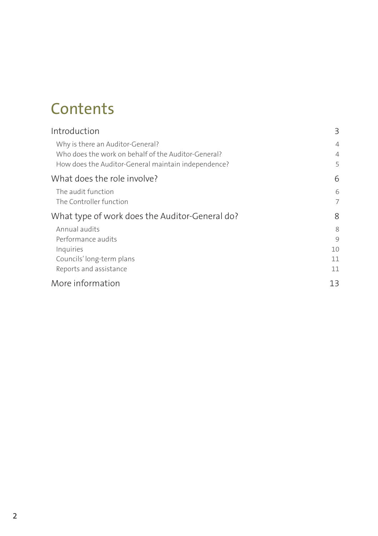# **Contents**

| Introduction                                                                                                                                   | 3                        |
|------------------------------------------------------------------------------------------------------------------------------------------------|--------------------------|
| Why is there an Auditor-General?<br>Who does the work on behalf of the Auditor-General?<br>How does the Auditor-General maintain independence? | $\overline{4}$<br>4<br>5 |
| What does the role involve?                                                                                                                    | 6                        |
| The audit function<br>The Controller function                                                                                                  | 6<br>7                   |
| What type of work does the Auditor-General do?                                                                                                 | 8                        |
| Annual audits<br>Performance audits<br>Inquiries<br>Councils' long-term plans<br>Reports and assistance                                        | 8<br>9<br>10<br>11<br>11 |
| More information                                                                                                                               | 13                       |
|                                                                                                                                                |                          |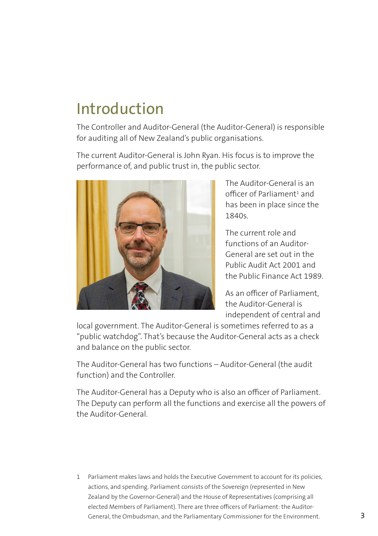# Introduction

The Controller and Auditor-General (the Auditor-General) is responsible for auditing all of New Zealand's public organisations.

The current Auditor-General is John Ryan. His focus is to improve the performance of, and public trust in, the public sector.



The Auditor-General is an officer of Parliament $^1$  and has been in place since the 1840s.

The current role and functions of an Auditor-General are set out in the Public Audit Act 2001 and the Public Finance Act 1989.

As an officer of Parliament, the Auditor-General is independent of central and

local government. The Auditor-General is sometimes referred to as a "public watchdog". That's because the Auditor-General acts as a check and balance on the public sector.

The Auditor-General has two functions – Auditor-General (the audit function) and the Controller.

The Auditor-General has a Deputy who is also an officer of Parliament. The Deputy can perform all the functions and exercise all the powers of the Auditor-General.

1 Parliament makes laws and holds the Executive Government to account for its policies, actions, and spending. Parliament consists of the Sovereign (represented in New Zealand by the Governor-General) and the House of Representatives (comprising all elected Members of Parliament). There are three officers of Parliament: the Auditor-General, the Ombudsman, and the Parliamentary Commissioner for the Environment.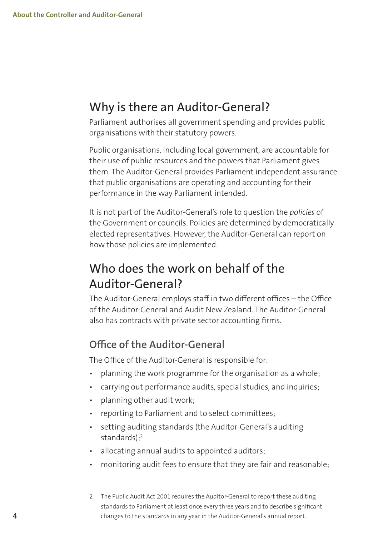## Why is there an Auditor-General?

Parliament authorises all government spending and provides public organisations with their statutory powers.

Public organisations, including local government, are accountable for their use of public resources and the powers that Parliament gives them. The Auditor-General provides Parliament independent assurance that public organisations are operating and accounting for their performance in the way Parliament intended.

It is not part of the Auditor-General's role to question the *policies* of the Government or councils. Policies are determined by democratically elected representatives. However, the Auditor-General can report on how those policies are implemented.

## Who does the work on behalf of the Auditor-General?

The Auditor-General employs staff in two different offices – the Office of the Auditor-General and Audit New Zealand. The Auditor-General also has contracts with private sector accounting firms.

#### **Office of the Auditor-General**

The Office of the Auditor-General is responsible for:

- planning the work programme for the organisation as a whole;
- carrying out performance audits, special studies, and inquiries;
- planning other audit work;
- reporting to Parliament and to select committees;
- setting auditing standards (the Auditor-General's auditing  $standards$ ) $<sup>2</sup>$ </sup>
- allocating annual audits to appointed auditors;
- monitoring audit fees to ensure that they are fair and reasonable;
- 2 The Public Audit Act 2001 requires the Auditor-General to report these auditing standards to Parliament at least once every three years and to describe significant changes to the standards in any year in the Auditor-General's annual report.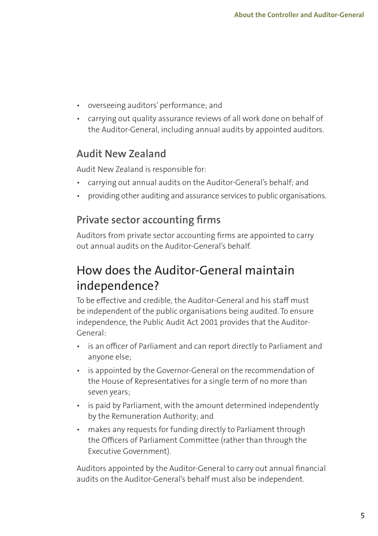- overseeing auditors' performance; and
- carrying out quality assurance reviews of all work done on behalf of the Auditor-General, including annual audits by appointed auditors.

#### **Audit New Zealand**

Audit New Zealand is responsible for:

- carrying out annual audits on the Auditor-General's behalf; and
- providing other auditing and assurance services to public organisations.

#### **Private sector accounting firms**

Auditors from private sector accounting firms are appointed to carry out annual audits on the Auditor-General's behalf.

## How does the Auditor-General maintain independence?

To be effective and credible, the Auditor-General and his staff must be independent of the public organisations being audited. To ensure independence, the Public Audit Act 2001 provides that the Auditor-General:

- is an officer of Parliament and can report directly to Parliament and anyone else;
- is appointed by the Governor-General on the recommendation of the House of Representatives for a single term of no more than seven years;
- is paid by Parliament, with the amount determined independently by the Remuneration Authority; and
- makes any requests for funding directly to Parliament through the Officers of Parliament Committee (rather than through the Executive Government).

Auditors appointed by the Auditor-General to carry out annual financial audits on the Auditor-General's behalf must also be independent.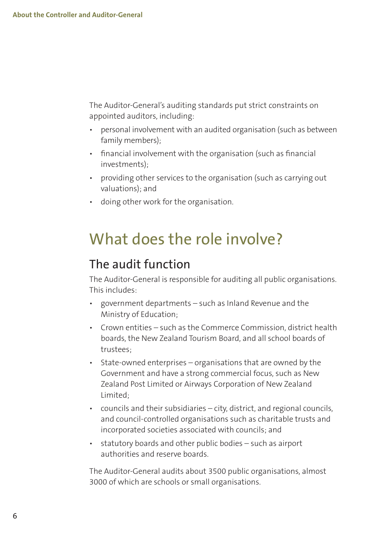The Auditor-General's auditing standards put strict constraints on appointed auditors, including:

- personal involvement with an audited organisation (such as between family members);
- financial involvement with the organisation (such as financial investments);
- providing other services to the organisation (such as carrying out valuations); and
- doing other work for the organisation.

# What does the role involve?

### The audit function

The Auditor-General is responsible for auditing all public organisations. This includes:

- government departments such as Inland Revenue and the Ministry of Education;
- Crown entities such as the Commerce Commission, district health boards, the New Zealand Tourism Board, and all school boards of trustees;
- State-owned enterprises organisations that are owned by the Government and have a strong commercial focus, such as New Zealand Post Limited or Airways Corporation of New Zealand Limited;
- councils and their subsidiaries city, district, and regional councils, and council-controlled organisations such as charitable trusts and incorporated societies associated with councils; and
- statutory boards and other public bodies such as airport authorities and reserve boards.

The Auditor-General audits about 3500 public organisations, almost 3000 of which are schools or small organisations.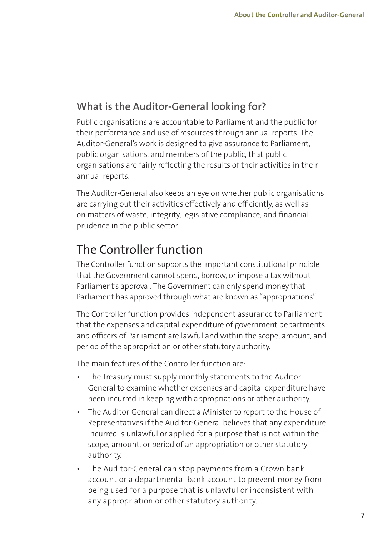### **What is the Auditor-General looking for?**

Public organisations are accountable to Parliament and the public for their performance and use of resources through annual reports. The Auditor-General's work is designed to give assurance to Parliament, public organisations, and members of the public, that public organisations are fairly reflecting the results of their activities in their annual reports.

The Auditor-General also keeps an eye on whether public organisations are carrying out their activities effectively and efficiently, as well as on matters of waste, integrity, legislative compliance, and financial prudence in the public sector.

## The Controller function

The Controller function supports the important constitutional principle that the Government cannot spend, borrow, or impose a tax without Parliament's approval. The Government can only spend money that Parliament has approved through what are known as "appropriations".

The Controller function provides independent assurance to Parliament that the expenses and capital expenditure of government departments and officers of Parliament are lawful and within the scope, amount, and period of the appropriation or other statutory authority.

The main features of the Controller function are:

- The Treasury must supply monthly statements to the Auditor-General to examine whether expenses and capital expenditure have been incurred in keeping with appropriations or other authority.
- The Auditor-General can direct a Minister to report to the House of Representatives if the Auditor-General believes that any expenditure incurred is unlawful or applied for a purpose that is not within the scope, amount, or period of an appropriation or other statutory authority.
- The Auditor-General can stop payments from a Crown bank account or a departmental bank account to prevent money from being used for a purpose that is unlawful or inconsistent with any appropriation or other statutory authority.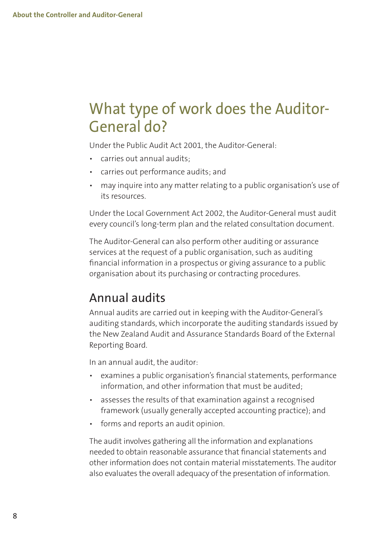# What type of work does the Auditor-General do?

Under the Public Audit Act 2001, the Auditor-General:

- carries out annual audits;
- carries out performance audits; and
- may inquire into any matter relating to a public organisation's use of its resources.

Under the Local Government Act 2002, the Auditor-General must audit every council's long-term plan and the related consultation document.

The Auditor-General can also perform other auditing or assurance services at the request of a public organisation, such as auditing financial information in a prospectus or giving assurance to a public organisation about its purchasing or contracting procedures.

### Annual audits

Annual audits are carried out in keeping with the Auditor-General's auditing standards, which incorporate the auditing standards issued by the New Zealand Audit and Assurance Standards Board of the External Reporting Board.

In an annual audit, the auditor:

- examines a public organisation's financial statements, performance information, and other information that must be audited.
- assesses the results of that examination against a recognised framework (usually generally accepted accounting practice); and
- forms and reports an audit opinion.

The audit involves gathering all the information and explanations needed to obtain reasonable assurance that financial statements and other information does not contain material misstatements. The auditor also evaluates the overall adequacy of the presentation of information.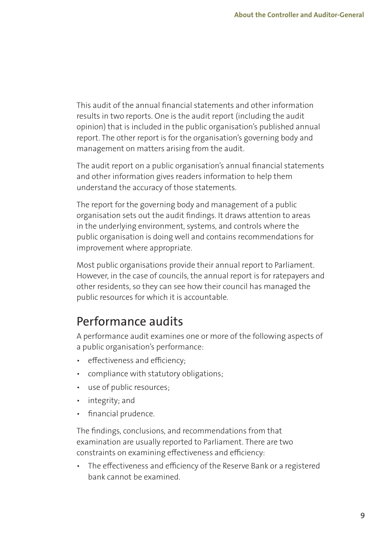This audit of the annual financial statements and other information results in two reports. One is the audit report (including the audit opinion) that is included in the public organisation's published annual report. The other report is for the organisation's governing body and management on matters arising from the audit.

The audit report on a public organisation's annual financial statements and other information gives readers information to help them understand the accuracy of those statements.

The report for the governing body and management of a public organisation sets out the audit findings. It draws attention to areas in the underlying environment, systems, and controls where the public organisation is doing well and contains recommendations for improvement where appropriate.

Most public organisations provide their annual report to Parliament. However, in the case of councils, the annual report is for ratepayers and other residents, so they can see how their council has managed the public resources for which it is accountable.

## Performance audits

A performance audit examines one or more of the following aspects of a public organisation's performance:

- effectiveness and efficiency;
- compliance with statutory obligations;
- use of public resources;
- integrity; and
- financial prudence.

The findings, conclusions, and recommendations from that examination are usually reported to Parliament. There are two constraints on examining effectiveness and efficiency:

• The effectiveness and efficiency of the Reserve Bank or a registered bank cannot be examined.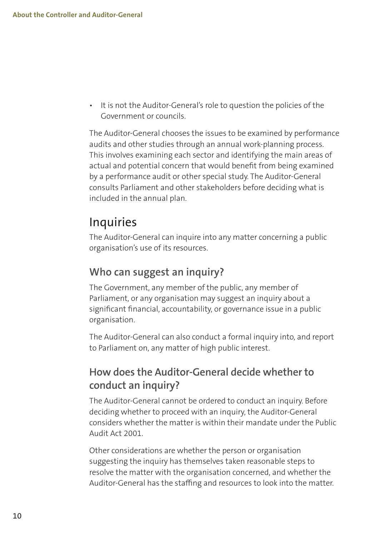• It is not the Auditor-General's role to question the policies of the Government or councils.

The Auditor-General chooses the issues to be examined by performance audits and other studies through an annual work-planning process. This involves examining each sector and identifying the main areas of actual and potential concern that would benefit from being examined by a performance audit or other special study. The Auditor-General consults Parliament and other stakeholders before deciding what is included in the annual plan.

## **Inquiries**

The Auditor-General can inquire into any matter concerning a public organisation's use of its resources.

#### **Who can suggest an inquiry?**

The Government, any member of the public, any member of Parliament, or any organisation may suggest an inquiry about a significant financial, accountability, or governance issue in a public organisation.

The Auditor-General can also conduct a formal inquiry into, and report to Parliament on, any matter of high public interest.

### **How does the Auditor-General decide whether to conduct an inquiry?**

The Auditor-General cannot be ordered to conduct an inquiry. Before deciding whether to proceed with an inquiry, the Auditor-General considers whether the matter is within their mandate under the Public Audit Act 2001.

Other considerations are whether the person or organisation suggesting the inquiry has themselves taken reasonable steps to resolve the matter with the organisation concerned, and whether the Auditor-General has the staffing and resources to look into the matter.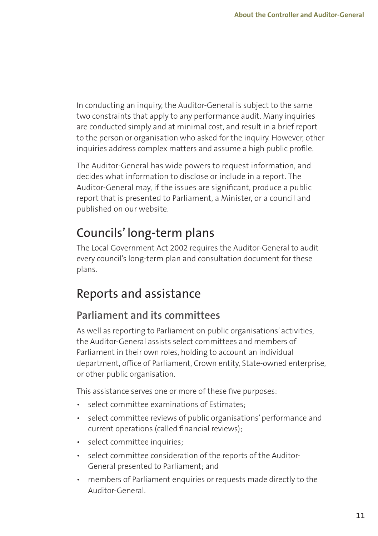In conducting an inquiry, the Auditor-General is subject to the same two constraints that apply to any performance audit. Many inquiries are conducted simply and at minimal cost, and result in a brief report to the person or organisation who asked for the inquiry. However, other inquiries address complex matters and assume a high public profile.

The Auditor-General has wide powers to request information, and decides what information to disclose or include in a report. The Auditor-General may, if the issues are significant, produce a public report that is presented to Parliament, a Minister, or a council and published on our website.

## Councils' long-term plans

The Local Government Act 2002 requires the Auditor-General to audit every council's long-term plan and consultation document for these plans.

## Reports and assistance

### **Parliament and its committees**

As well as reporting to Parliament on public organisations' activities, the Auditor-General assists select committees and members of Parliament in their own roles, holding to account an individual department, office of Parliament, Crown entity, State-owned enterprise, or other public organisation.

This assistance serves one or more of these five purposes:

- select committee examinations of Estimates;
- select committee reviews of public organisations' performance and current operations (called financial reviews);
- select committee inquiries;
- select committee consideration of the reports of the Auditor-General presented to Parliament; and
- members of Parliament enquiries or requests made directly to the Auditor-General.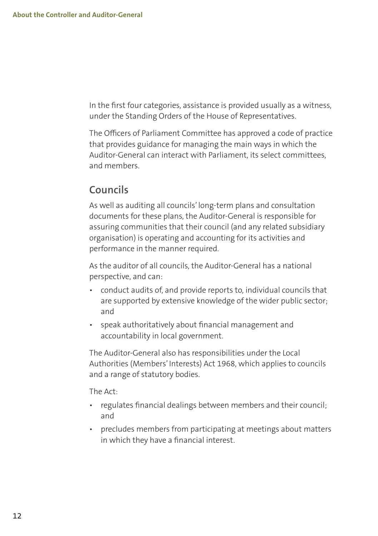In the first four categories, assistance is provided usually as a witness, under the Standing Orders of the House of Representatives.

The Officers of Parliament Committee has approved a code of practice that provides guidance for managing the main ways in which the Auditor-General can interact with Parliament, its select committees, and members.

#### **Councils**

As well as auditing all councils' long-term plans and consultation documents for these plans, the Auditor-General is responsible for assuring communities that their council (and any related subsidiary organisation) is operating and accounting for its activities and performance in the manner required.

As the auditor of all councils, the Auditor-General has a national perspective, and can:

- conduct audits of, and provide reports to, individual councils that are supported by extensive knowledge of the wider public sector; and
- speak authoritatively about financial management and accountability in local government.

The Auditor-General also has responsibilities under the Local Authorities (Members' Interests) Act 1968, which applies to councils and a range of statutory bodies.

The Act:

- regulates financial dealings between members and their council; and
- precludes members from participating at meetings about matters in which they have a financial interest.